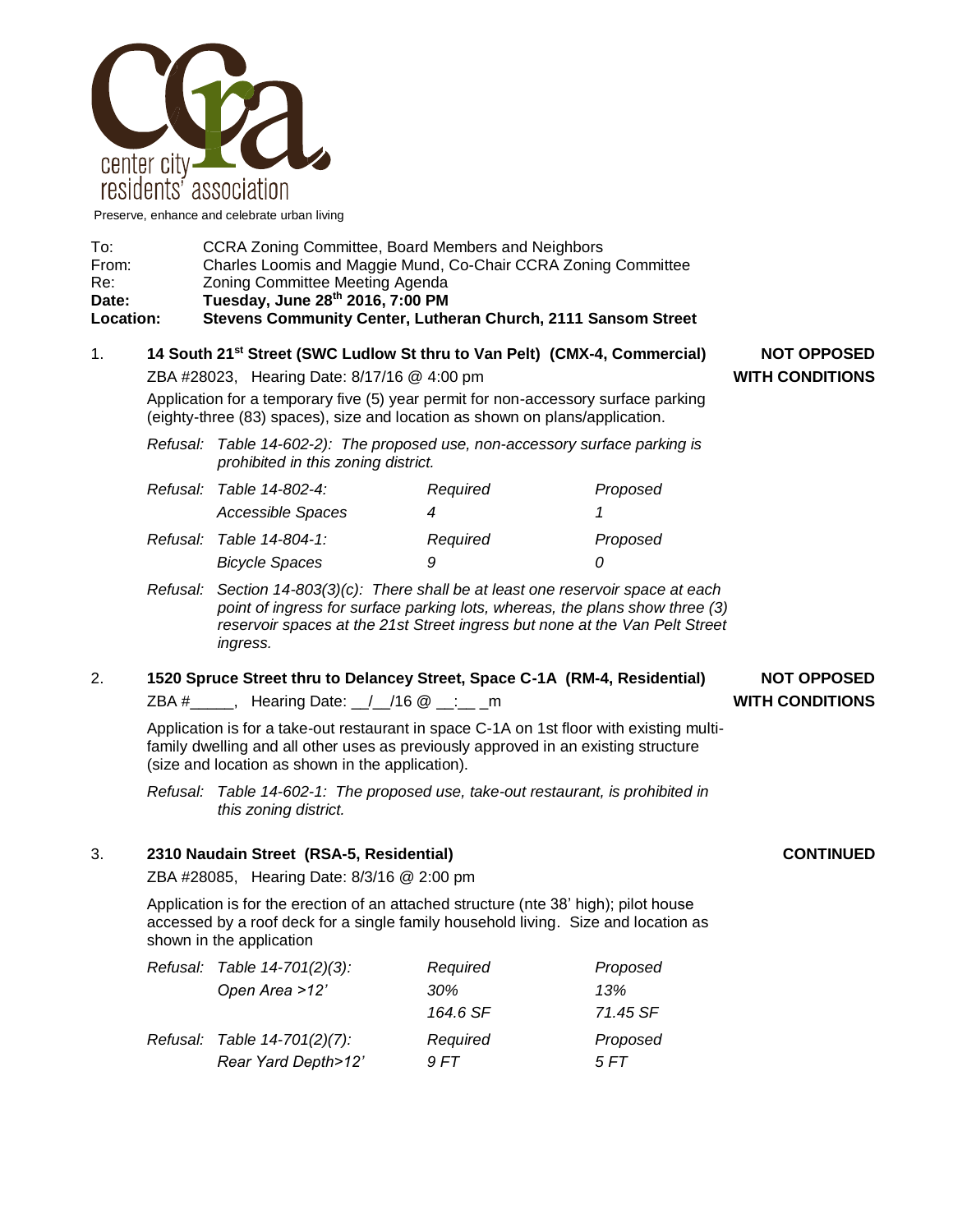

Preserve, enhance and celebrate urban living

| To:              | CCRA Zoning Committee, Board Members and Neighbors             |
|------------------|----------------------------------------------------------------|
| From:            | Charles Loomis and Maggie Mund, Co-Chair CCRA Zoning Committee |
| Re:              | Zoning Committee Meeting Agenda                                |
| Date:            | Tuesday, June 28th 2016, 7:00 PM                               |
| <b>Location:</b> | Stevens Community Center, Lutheran Church, 2111 Sansom Street  |

## 1. **14 South 21st Street (SWC Ludlow St thru to Van Pelt) (CMX-4, Commercial) NOT OPPOSED**

ZBA #28023, Hearing Date: 8/17/16 @ 4:00 pm **WITH CONDITIONS**

Application for a temporary five (5) year permit for non-accessory surface parking (eighty-three (83) spaces), size and location as shown on plans/application.

*Refusal: Table 14-602-2): The proposed use, non-accessory surface parking is prohibited in this zoning district.*

| Refusal: Table 14-802-4: | Required | Proposed |
|--------------------------|----------|----------|
| Accessible Spaces        |          |          |
| Refusal: Table 14-804-1: | Required | Proposed |
| <b>Bicycle Spaces</b>    | 9        |          |

- *Refusal: Section 14-803(3)(c): There shall be at least one reservoir space at each point of ingress for surface parking lots, whereas, the plans show three (3) reservoir spaces at the 21st Street ingress but none at the Van Pelt Street ingress.*
- 2. **1520 Spruce Street thru to Delancey Street, Space C-1A (RM-4, Residential) NOT OPPOSED** ZBA #\_\_\_\_\_, Hearing Date: \_\_/\_\_/16 @ \_\_:\_\_ \_m **WITH CONDITIONS**

Application is for a take-out restaurant in space C-1A on 1st floor with existing multifamily dwelling and all other uses as previously approved in an existing structure (size and location as shown in the application).

*Refusal: Table 14-602-1: The proposed use, take-out restaurant, is prohibited in this zoning district.*

### 3. **2310 Naudain Street (RSA-5, Residential) CONTINUED**

ZBA #28085, Hearing Date: 8/3/16 @ 2:00 pm

Application is for the erection of an attached structure (nte 38' high); pilot house accessed by a roof deck for a single family household living. Size and location as shown in the application

| Refusal: Table 14-701(2)(3): | Required | Proposed |
|------------------------------|----------|----------|
| Open Area >12'               | 30%      | 13%      |
|                              | 164.6 SF | 71.45 SF |
| Refusal: Table 14-701(2)(7): | Required | Proposed |
| Rear Yard Depth>12'          | 9 FT     | 5 FT     |